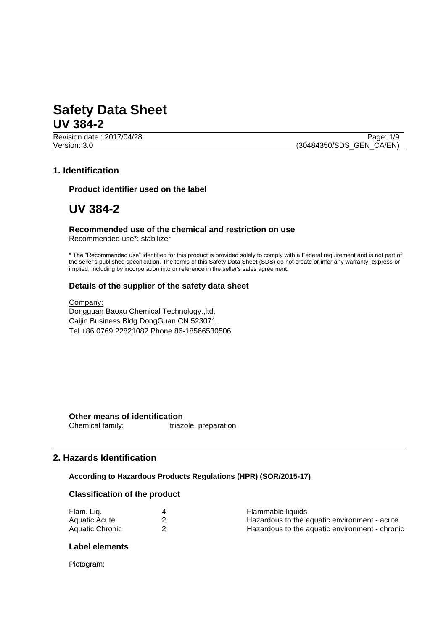Revision date : 2017/04/28 Page: 1/9 Version: 3.0 (30484350/SDS\_GEN\_CA/EN)

## **1. Identification**

**Product identifier used on the label**

# **UV 384-2**

#### **Recommended use of the chemical and restriction on use** Recommended use\*: stabilizer

\* The "Recommended use" identified for this product is provided solely to comply with a Federal requirement and is not part of the seller's published specification. The terms of this Safety Data Sheet (SDS) do not create or infer any warranty, express or implied, including by incorporation into or reference in the seller's sales agreement.

## **Details of the supplier of the safety data sheet**

Company: Dongguan Baoxu Chemical Technology.,ltd. Caijin Business Bldg DongGuan CN 523071 Tel +86 0769 22821082 Phone 86-18566530506

**Other means of identification**<br>Chemical family: triaz triazole, preparation

# **2. Hazards Identification**

#### **According to Hazardous Products Regulations (HPR) (SOR/2015-17)**

### **Classification of the product**

| Flam. Liq.      | Flammable liquids                              |
|-----------------|------------------------------------------------|
| Aquatic Acute   | Hazardous to the aquatic environment - acute   |
| Aquatic Chronic | Hazardous to the aquatic environment - chronic |

#### **Label elements**

Pictogram: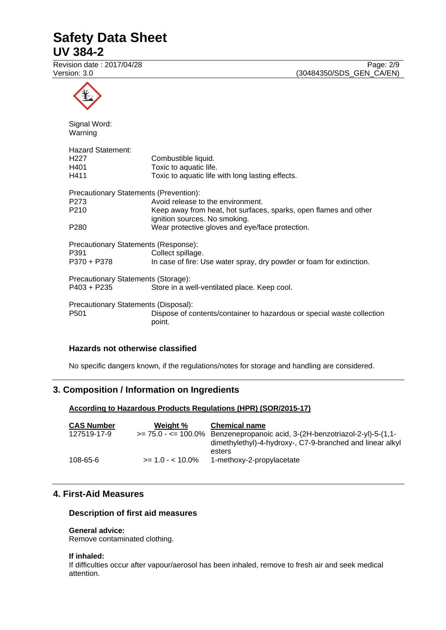Revision date : 2017/04/28 Page: 2/9

Version: 3.0 (30484350/SDS\_GEN\_CA/EN)



## **Hazards not otherwise classified**

No specific dangers known, if the regulations/notes for storage and handling are considered.

# **3. Composition / Information on Ingredients**

## **According to Hazardous Products Regulations (HPR) (SOR/2015-17)**

| <b>CAS Number</b> | Weight %          | <b>Chemical name</b>                                                                  |
|-------------------|-------------------|---------------------------------------------------------------------------------------|
| 127519-17-9       |                   | $\ge$ = 75.0 - $\lt$ = 100.0% Benzenepropanoic acid, 3-(2H-benzotriazol-2-yl)-5-(1,1- |
|                   |                   | dimethylethyl)-4-hydroxy-, C7-9-branched and linear alkyl                             |
|                   |                   | esters                                                                                |
| 108-65-6          | $>= 1.0 - 10.0\%$ | 1-methoxy-2-propylacetate                                                             |

## **4. First-Aid Measures**

### **Description of first aid measures**

#### **General advice:**

Remove contaminated clothing.

#### **If inhaled:**

If difficulties occur after vapour/aerosol has been inhaled, remove to fresh air and seek medical attention.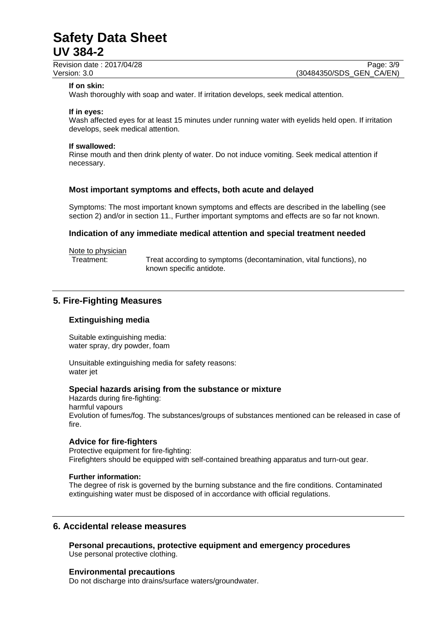Revision date : 2017/04/28 Page: 3/9

#### **If on skin:**

Wash thoroughly with soap and water. If irritation develops, seek medical attention.

#### **If in eyes:**

Wash affected eyes for at least 15 minutes under running water with eyelids held open. If irritation develops, seek medical attention.

#### **If swallowed:**

Rinse mouth and then drink plenty of water. Do not induce vomiting. Seek medical attention if necessary.

### **Most important symptoms and effects, both acute and delayed**

Symptoms: The most important known symptoms and effects are described in the labelling (see section 2) and/or in section 11., Further important symptoms and effects are so far not known.

### **Indication of any immediate medical attention and special treatment needed**

#### Note to physician

Treatment: Treat according to symptoms (decontamination, vital functions), no known specific antidote.

## **5. Fire-Fighting Measures**

#### **Extinguishing media**

Suitable extinguishing media: water spray, dry powder, foam

Unsuitable extinguishing media for safety reasons: water jet

### **Special hazards arising from the substance or mixture**

Hazards during fire-fighting: harmful vapours Evolution of fumes/fog. The substances/groups of substances mentioned can be released in case of fire.

## **Advice for fire-fighters**

Protective equipment for fire-fighting: Firefighters should be equipped with self-contained breathing apparatus and turn-out gear.

#### **Further information:**

The degree of risk is governed by the burning substance and the fire conditions. Contaminated extinguishing water must be disposed of in accordance with official regulations.

## **6. Accidental release measures**

**Personal precautions, protective equipment and emergency procedures** Use personal protective clothing.

#### **Environmental precautions**

Do not discharge into drains/surface waters/groundwater.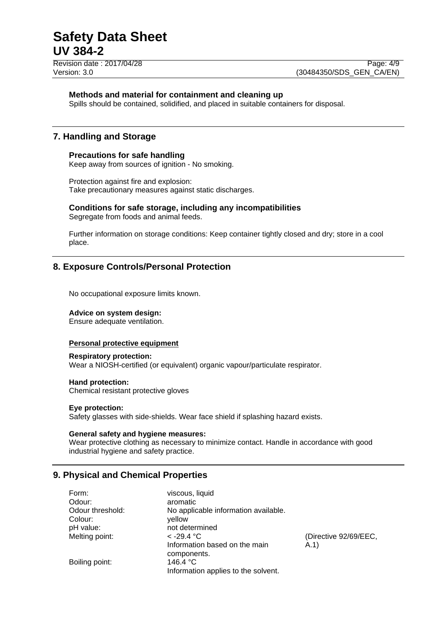Revision date : 2017/04/28 Page: 4/9

### **Methods and material for containment and cleaning up**

Spills should be contained, solidified, and placed in suitable containers for disposal.

## **7. Handling and Storage**

### **Precautions for safe handling**

Keep away from sources of ignition - No smoking.

Protection against fire and explosion: Take precautionary measures against static discharges.

# **Conditions for safe storage, including any incompatibilities**

Segregate from foods and animal feeds.

Further information on storage conditions: Keep container tightly closed and dry; store in a cool place.

# **8. Exposure Controls/Personal Protection**

No occupational exposure limits known.

#### **Advice on system design:**

Ensure adequate ventilation.

#### **Personal protective equipment**

#### **Respiratory protection:**

Wear a NIOSH-certified (or equivalent) organic vapour/particulate respirator.

#### **Hand protection:**

Chemical resistant protective gloves

## **Eye protection:**

Safety glasses with side-shields. Wear face shield if splashing hazard exists.

#### **General safety and hygiene measures:**

Wear protective clothing as necessary to minimize contact. Handle in accordance with good industrial hygiene and safety practice.

# **9. Physical and Chemical Properties**

| Form:            | viscous, liquid                      |                       |
|------------------|--------------------------------------|-----------------------|
| Odour:           | aromatic                             |                       |
| Odour threshold: | No applicable information available. |                       |
| Colour:          | vellow                               |                       |
| pH value:        | not determined                       |                       |
| Melting point:   | $<$ -29.4 °C                         | (Directive 92/69/EEC, |
|                  | Information based on the main        | (A.1)                 |
|                  | components.                          |                       |
| Boiling point:   | 146.4 °C                             |                       |
|                  | Information applies to the solvent.  |                       |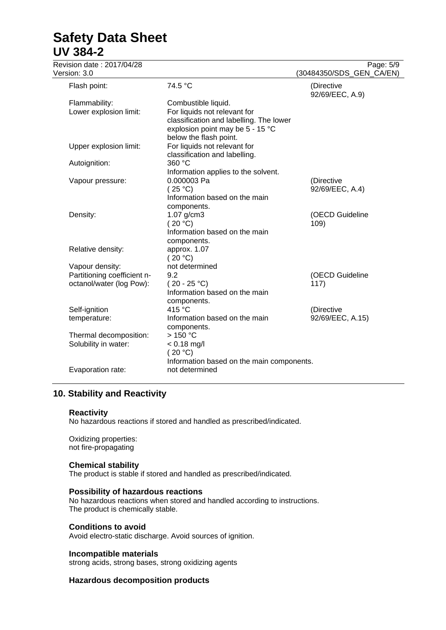| Revision date: 2017/04/28<br>Version: 3.0                                  |                                                                                                                                    | Page: 5/9<br>(30484350/SDS_GEN_CA/EN) |
|----------------------------------------------------------------------------|------------------------------------------------------------------------------------------------------------------------------------|---------------------------------------|
| Flash point:                                                               | 74.5 °C                                                                                                                            | (Directive<br>92/69/EEC, A.9)         |
| Flammability:<br>Lower explosion limit:                                    | Combustible liquid.<br>For liquids not relevant for<br>classification and labelling. The lower<br>explosion point may be 5 - 15 °C |                                       |
| Upper explosion limit:                                                     | below the flash point.<br>For liquids not relevant for<br>classification and labelling.                                            |                                       |
| Autoignition:                                                              | 360 °C                                                                                                                             |                                       |
| Vapour pressure:                                                           | Information applies to the solvent.<br>0.000003 Pa<br>(25 °C)<br>Information based on the main                                     | (Directive<br>92/69/EEC, A.4)         |
| Density:                                                                   | components.<br>1.07 g/cm3<br>(20 °C)<br>Information based on the main                                                              | (OECD Guideline<br>109)               |
| Relative density:                                                          | components.<br>approx. 1.07<br>(20 °C)                                                                                             |                                       |
| Vapour density:<br>Partitioning coefficient n-<br>octanol/water (log Pow): | not determined<br>9.2<br>$(20 - 25 °C)$<br>Information based on the main<br>components.                                            | (OECD Guideline<br>117)               |
| Self-ignition<br>temperature:                                              | 415 °C<br>Information based on the main<br>components.                                                                             | (Directive<br>92/69/EEC, A.15)        |
| Thermal decomposition:<br>Solubility in water:                             | >150 °C<br>$< 0.18$ mg/l<br>(20 °C)                                                                                                |                                       |
| Evaporation rate:                                                          | Information based on the main components.<br>not determined                                                                        |                                       |

# **10. Stability and Reactivity**

#### **Reactivity**

No hazardous reactions if stored and handled as prescribed/indicated.

Oxidizing properties: not fire-propagating

### **Chemical stability**

The product is stable if stored and handled as prescribed/indicated.

### **Possibility of hazardous reactions**

No hazardous reactions when stored and handled according to instructions. The product is chemically stable.

#### **Conditions to avoid**

Avoid electro-static discharge. Avoid sources of ignition.

#### **Incompatible materials**

strong acids, strong bases, strong oxidizing agents

### **Hazardous decomposition products**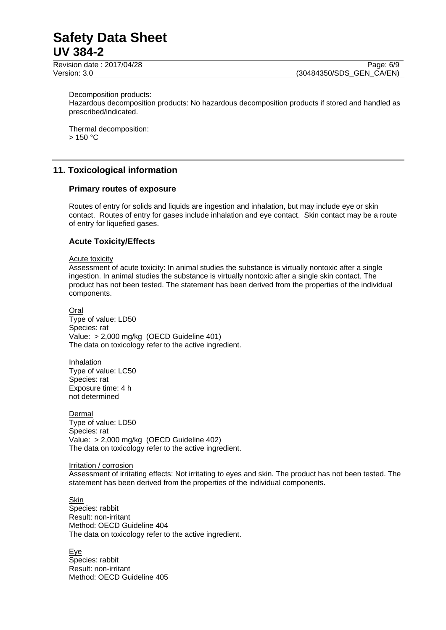Decomposition products:

Hazardous decomposition products: No hazardous decomposition products if stored and handled as prescribed/indicated.

Thermal decomposition:  $> 150 °C$ 

# **11. Toxicological information**

### **Primary routes of exposure**

Routes of entry for solids and liquids are ingestion and inhalation, but may include eye or skin contact. Routes of entry for gases include inhalation and eye contact. Skin contact may be a route of entry for liquefied gases.

## **Acute Toxicity/Effects**

#### Acute toxicity

Assessment of acute toxicity: In animal studies the substance is virtually nontoxic after a single ingestion. In animal studies the substance is virtually nontoxic after a single skin contact. The product has not been tested. The statement has been derived from the properties of the individual components.

Oral Type of value: LD50 Species: rat Value: > 2,000 mg/kg (OECD Guideline 401) The data on toxicology refer to the active ingredient.

Inhalation Type of value: LC50 Species: rat Exposure time: 4 h not determined

Dermal Type of value: LD50 Species: rat Value: > 2,000 mg/kg (OECD Guideline 402) The data on toxicology refer to the active ingredient.

#### Irritation / corrosion

Assessment of irritating effects: Not irritating to eyes and skin. The product has not been tested. The statement has been derived from the properties of the individual components.

Skin Species: rabbit Result: non-irritant Method: OECD Guideline 404 The data on toxicology refer to the active ingredient.

Eye Species: rabbit Result: non-irritant Method: OECD Guideline 405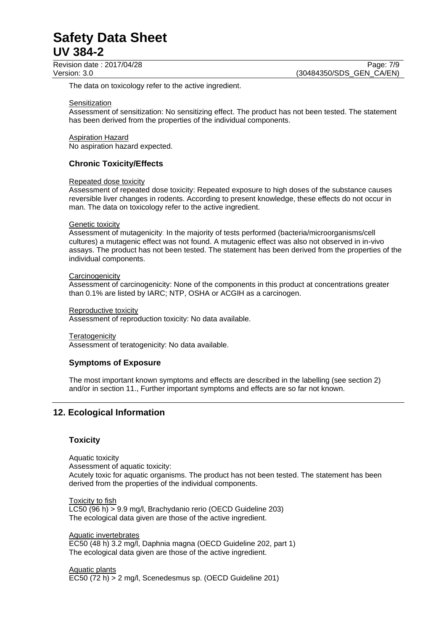Revision date : 2017/04/28 Page: 7/9

The data on toxicology refer to the active ingredient.

#### **Sensitization**

Assessment of sensitization: No sensitizing effect. The product has not been tested. The statement has been derived from the properties of the individual components.

#### Aspiration Hazard

No aspiration hazard expected.

## **Chronic Toxicity/Effects**

#### Repeated dose toxicity

Assessment of repeated dose toxicity: Repeated exposure to high doses of the substance causes reversible liver changes in rodents. According to present knowledge, these effects do not occur in man. The data on toxicology refer to the active ingredient.

#### Genetic toxicity

Assessment of mutagenicity: In the majority of tests performed (bacteria/microorganisms/cell cultures) a mutagenic effect was not found. A mutagenic effect was also not observed in in-vivo assays. The product has not been tested. The statement has been derived from the properties of the individual components.

#### **Carcinogenicity**

Assessment of carcinogenicity: None of the components in this product at concentrations greater than 0.1% are listed by IARC; NTP, OSHA or ACGIH as a carcinogen.

#### Reproductive toxicity

Assessment of reproduction toxicity: No data available.

#### **Teratogenicity**

Assessment of teratogenicity: No data available.

## **Symptoms of Exposure**

The most important known symptoms and effects are described in the labelling (see section 2) and/or in section 11., Further important symptoms and effects are so far not known.

# **12. Ecological Information**

## **Toxicity**

Aquatic toxicity Assessment of aquatic toxicity: Acutely toxic for aquatic organisms. The product has not been tested. The statement has been derived from the properties of the individual components.

Toxicity to fish LC50 (96 h) > 9.9 mg/l, Brachydanio rerio (OECD Guideline 203) The ecological data given are those of the active ingredient.

Aquatic invertebrates EC50 (48 h) 3.2 mg/l, Daphnia magna (OECD Guideline 202, part 1) The ecological data given are those of the active ingredient.

Aquatic plants EC50 (72 h) > 2 mg/l, Scenedesmus sp. (OECD Guideline 201)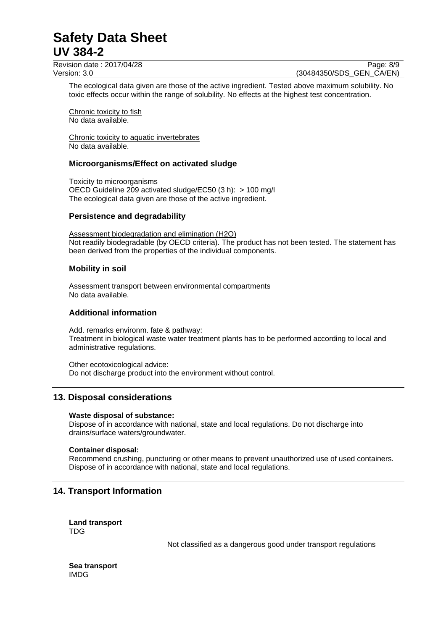Revision date : 2017/04/28 Page: 8/9 Version: 3.0 (30484350/SDS\_GEN\_CA/EN)

The ecological data given are those of the active ingredient. Tested above maximum solubility. No toxic effects occur within the range of solubility. No effects at the highest test concentration.

Chronic toxicity to fish No data available.

Chronic toxicity to aquatic invertebrates No data available.

## **Microorganisms/Effect on activated sludge**

Toxicity to microorganisms OECD Guideline 209 activated sludge/EC50 (3 h): > 100 mg/l The ecological data given are those of the active ingredient.

#### **Persistence and degradability**

Assessment biodegradation and elimination (H2O) Not readily biodegradable (by OECD criteria). The product has not been tested. The statement has been derived from the properties of the individual components.

### **Mobility in soil**

Assessment transport between environmental compartments No data available.

### **Additional information**

Add. remarks environm. fate & pathway: Treatment in biological waste water treatment plants has to be performed according to local and administrative regulations.

Other ecotoxicological advice: Do not discharge product into the environment without control.

## **13. Disposal considerations**

#### **Waste disposal of substance:**

Dispose of in accordance with national, state and local regulations. Do not discharge into drains/surface waters/groundwater.

#### **Container disposal:**

Recommend crushing, puncturing or other means to prevent unauthorized use of used containers. Dispose of in accordance with national, state and local regulations.

# **14. Transport Information**

**Land transport** TDG

Not classified as a dangerous good under transport regulations

**Sea transport** IMDG